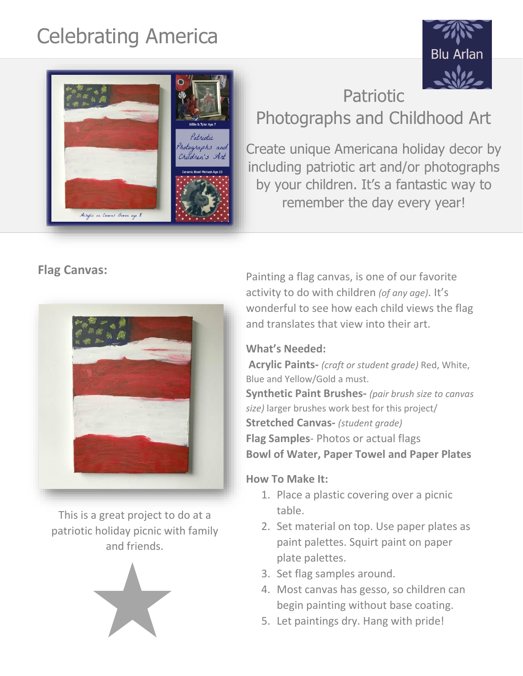# Celebrating America

Patriotic hotographs and "hildren's Art





## Photographs and Childhood Art

Create unique Americana holiday decor by including patriotic art and/or photographs by your children. It's a fantastic way to remember the day every year!

**Flag Canvas:** 



This is a great project to do at a patriotic holiday picnic with family and friends.



Painting a flag canvas, is one of our favorite activity to do with children *(of any age)*. It's wonderful to see how each child views the flag and translates that view into their art.

### **What's Needed:**

**Acrylic Paints-** *(craft or student grade)* Red, White, Blue and Yellow/Gold a must. **Synthetic Paint Brushes-** *(pair brush size to canvas size)* larger brushes work best for this project/ **Stretched Canvas-** *(student grade)* **Flag Samples**- Photos or actual flags **Bowl of Water, Paper Towel and Paper Plates**

### **How To Make It:**

- 1. Place a plastic covering over a picnic table.
- 2. Set material on top. Use paper plates as paint palettes. Squirt paint on paper plate palettes.
- 3. Set flag samples around.
- 4. Most canvas has gesso, so children can begin painting without base coating.
- 5. Let paintings dry. Hang with pride!